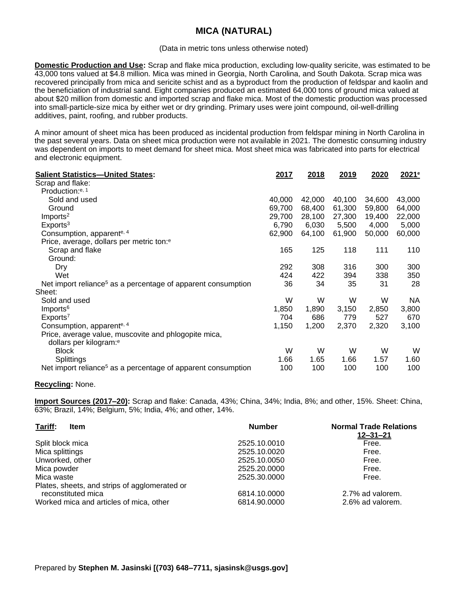## **MICA (NATURAL)**

## (Data in metric tons unless otherwise noted)

**Domestic Production and Use:** Scrap and flake mica production, excluding low-quality sericite, was estimated to be 43,000 tons valued at \$4.8 million. Mica was mined in Georgia, North Carolina, and South Dakota. Scrap mica was recovered principally from mica and sericite schist and as a byproduct from the production of feldspar and kaolin and the beneficiation of industrial sand. Eight companies produced an estimated 64,000 tons of ground mica valued at about \$20 million from domestic and imported scrap and flake mica. Most of the domestic production was processed into small-particle-size mica by either wet or dry grinding. Primary uses were joint compound, oil-well-drilling additives, paint, roofing, and rubber products.

A minor amount of sheet mica has been produced as incidental production from feldspar mining in North Carolina in the past several years. Data on sheet mica production were not available in 2021. The domestic consuming industry was dependent on imports to meet demand for sheet mica. Most sheet mica was fabricated into parts for electrical and electronic equipment.

| <b>Salient Statistics-United States:</b>                                                   | 2017   | 2018   | 2019   | 2020   | 2021 <sup>e</sup> |
|--------------------------------------------------------------------------------------------|--------|--------|--------|--------|-------------------|
| Scrap and flake:                                                                           |        |        |        |        |                   |
| Production: <sup>e, 1</sup>                                                                |        |        |        |        |                   |
| Sold and used                                                                              | 40,000 | 42,000 | 40,100 | 34,600 | 43,000            |
| Ground                                                                                     | 69,700 | 68,400 | 61,300 | 59,800 | 64,000            |
| Imports <sup>2</sup>                                                                       | 29,700 | 28,100 | 27,300 | 19,400 | 22,000            |
| Exports <sup>3</sup>                                                                       | 6,790  | 6,030  | 5,500  | 4,000  | 5,000             |
| Consumption, apparent <sup>e, 4</sup>                                                      | 62,900 | 64,100 | 61,900 | 50,000 | 60,000            |
| Price, average, dollars per metric ton: <sup>e</sup>                                       |        |        |        |        |                   |
| Scrap and flake                                                                            | 165    | 125    | 118    | 111    | 110               |
| Ground:                                                                                    |        |        |        |        |                   |
| Dry                                                                                        | 292    | 308    | 316    | 300    | 300               |
| Wet                                                                                        | 424    | 422    | 394    | 338    | 350               |
| Net import reliance <sup>5</sup> as a percentage of apparent consumption                   | 36     | 34     | 35     | 31     | 28                |
| Sheet:                                                                                     |        |        |        |        |                   |
| Sold and used                                                                              | W      | W      | W      | W      | NA.               |
| Imports <sup>6</sup>                                                                       | 1,850  | 1,890  | 3,150  | 2,850  | 3,800             |
| Exports <sup>7</sup>                                                                       | 704    | 686    | 779    | 527    | 670               |
| Consumption, apparent <sup>e, 4</sup>                                                      | 1,150  | 1,200  | 2,370  | 2,320  | 3,100             |
| Price, average value, muscovite and phlogopite mica,<br>dollars per kilogram: <sup>e</sup> |        |        |        |        |                   |
| <b>Block</b>                                                                               | W      | W      | W      | W      | W                 |
| Splittings                                                                                 | 1.66   | 1.65   | 1.66   | 1.57   | 1.60              |
| Net import reliance <sup>5</sup> as a percentage of apparent consumption                   | 100    | 100    | 100    | 100    | 100               |

## **Recycling:** None.

**Import Sources (2017–20):** Scrap and flake: Canada, 43%; China, 34%; India, 8%; and other, 15%. Sheet: China, 63%; Brazil, 14%; Belgium, 5%; India, 4%; and other, 14%.

| Tariff:<br><b>Item</b>                                              | <b>Number</b> | <b>Normal Trade Relations</b><br>$12 - 31 - 21$ |
|---------------------------------------------------------------------|---------------|-------------------------------------------------|
| Split block mica                                                    | 2525.10.0010  | Free.                                           |
| Mica splittings                                                     | 2525.10.0020  | Free.                                           |
| Unworked, other                                                     | 2525.10.0050  | Free.                                           |
| Mica powder                                                         | 2525.20.0000  | Free.                                           |
| Mica waste                                                          | 2525.30.0000  | Free.                                           |
| Plates, sheets, and strips of agglomerated or<br>reconstituted mica | 6814.10.0000  | 2.7% ad valorem.                                |
| Worked mica and articles of mica, other                             | 6814.90.0000  | 2.6% ad valorem.                                |